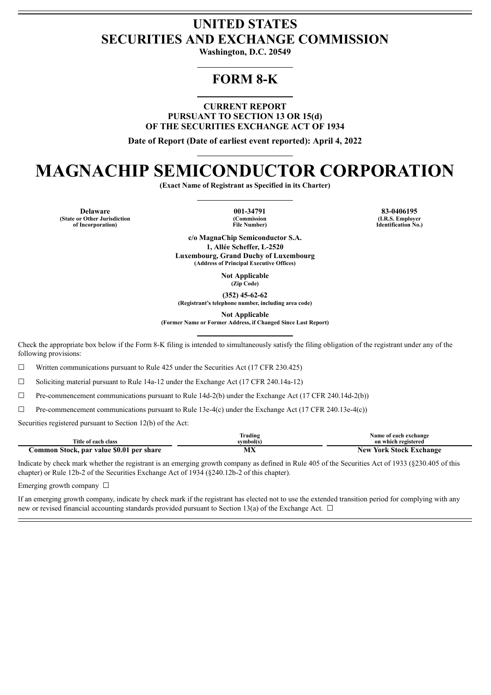# **UNITED STATES SECURITIES AND EXCHANGE COMMISSION**

**Washington, D.C. 20549**

# **FORM 8-K**

**CURRENT REPORT PURSUANT TO SECTION 13 OR 15(d) OF THE SECURITIES EXCHANGE ACT OF 1934**

**Date of Report (Date of earliest event reported): April 4, 2022**

# **MAGNACHIP SEMICONDUCTOR CORPORATION**

**(Exact Name of Registrant as Specified in its Charter)**

**Delaware 001-34791 83-0406195 (State or Other Jurisdiction of Incorporation)**

**(Commission File Number)** **(I.R.S. Employer Identification No.)**

**c/o MagnaChip Semiconductor S.A. 1, Allée Scheffer, L-2520 Luxembourg, Grand Duchy of Luxembourg (Address of Principal Executive Offices)**

> **Not Applicable (Zip Code)**

**(352) 45-62-62**

**(Registrant's telephone number, including area code)**

**Not Applicable**

**(Former Name or Former Address, if Changed Since Last Report)**

Check the appropriate box below if the Form 8-K filing is intended to simultaneously satisfy the filing obligation of the registrant under any of the following provisions:

 $\Box$  Written communications pursuant to Rule 425 under the Securities Act (17 CFR 230.425)

☐ Soliciting material pursuant to Rule 14a-12 under the Exchange Act (17 CFR 240.14a-12)

☐ Pre-commencement communications pursuant to Rule 14d-2(b) under the Exchange Act (17 CFR 240.14d-2(b))

☐ Pre-commencement communications pursuant to Rule 13e-4(c) under the Exchange Act (17 CFR 240.13e-4(c))

Securities registered pursuant to Section 12(b) of the Act:

|                                                        | Trading   | Name of each exchange      |
|--------------------------------------------------------|-----------|----------------------------|
| Title of each class                                    | svmbol(s` | on which registered        |
| \$0.01<br>per share<br>Stock,<br>, par value<br>.ommon | .<br>IVLA | York Stock Exchange<br>New |

Indicate by check mark whether the registrant is an emerging growth company as defined in Rule 405 of the Securities Act of 1933 (§230.405 of this chapter) or Rule 12b-2 of the Securities Exchange Act of 1934 (§240.12b-2 of this chapter).

Emerging growth company  $\Box$ 

If an emerging growth company, indicate by check mark if the registrant has elected not to use the extended transition period for complying with any new or revised financial accounting standards provided pursuant to Section 13(a) of the Exchange Act.  $\Box$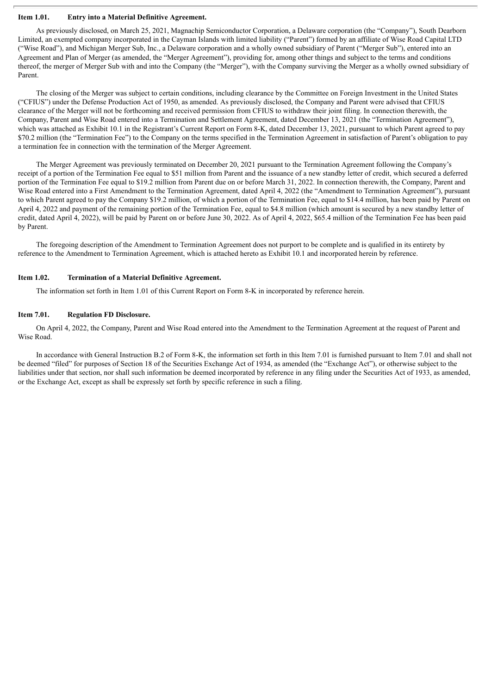### **Item 1.01. Entry into a Material Definitive Agreement.**

As previously disclosed, on March 25, 2021, Magnachip Semiconductor Corporation, a Delaware corporation (the "Company"), South Dearborn Limited, an exempted company incorporated in the Cayman Islands with limited liability ("Parent") formed by an affiliate of Wise Road Capital LTD ("Wise Road"), and Michigan Merger Sub, Inc., a Delaware corporation and a wholly owned subsidiary of Parent ("Merger Sub"), entered into an Agreement and Plan of Merger (as amended, the "Merger Agreement"), providing for, among other things and subject to the terms and conditions thereof, the merger of Merger Sub with and into the Company (the "Merger"), with the Company surviving the Merger as a wholly owned subsidiary of Parent.

The closing of the Merger was subject to certain conditions, including clearance by the Committee on Foreign Investment in the United States ("CFIUS") under the Defense Production Act of 1950, as amended. As previously disclosed, the Company and Parent were advised that CFIUS clearance of the Merger will not be forthcoming and received permission from CFIUS to withdraw their joint filing. In connection therewith, the Company, Parent and Wise Road entered into a Termination and Settlement Agreement, dated December 13, 2021 (the "Termination Agreement"), which was attached as Exhibit 10.1 in the Registrant's Current Report on Form 8-K, dated December 13, 2021, pursuant to which Parent agreed to pay \$70.2 million (the "Termination Fee") to the Company on the terms specified in the Termination Agreement in satisfaction of Parent's obligation to pay a termination fee in connection with the termination of the Merger Agreement.

The Merger Agreement was previously terminated on December 20, 2021 pursuant to the Termination Agreement following the Company's receipt of a portion of the Termination Fee equal to \$51 million from Parent and the issuance of a new standby letter of credit, which secured a deferred portion of the Termination Fee equal to \$19.2 million from Parent due on or before March 31, 2022. In connection therewith, the Company, Parent and Wise Road entered into a First Amendment to the Termination Agreement, dated April 4, 2022 (the "Amendment to Termination Agreement"), pursuant to which Parent agreed to pay the Company \$19.2 million, of which a portion of the Termination Fee, equal to \$14.4 million, has been paid by Parent on April 4, 2022 and payment of the remaining portion of the Termination Fee, equal to \$4.8 million (which amount is secured by a new standby letter of credit, dated April 4, 2022), will be paid by Parent on or before June 30, 2022. As of April 4, 2022, \$65.4 million of the Termination Fee has been paid by Parent.

The foregoing description of the Amendment to Termination Agreement does not purport to be complete and is qualified in its entirety by reference to the Amendment to Termination Agreement, which is attached hereto as Exhibit 10.1 and incorporated herein by reference.

#### **Item 1.02. Termination of a Material Definitive Agreement.**

The information set forth in Item 1.01 of this Current Report on Form 8-K in incorporated by reference herein.

### **Item 7.01. Regulation FD Disclosure.**

On April 4, 2022, the Company, Parent and Wise Road entered into the Amendment to the Termination Agreement at the request of Parent and Wise Road.

In accordance with General Instruction B.2 of Form 8-K, the information set forth in this Item 7.01 is furnished pursuant to Item 7.01 and shall not be deemed "filed" for purposes of Section 18 of the Securities Exchange Act of 1934, as amended (the "Exchange Act"), or otherwise subject to the liabilities under that section, nor shall such information be deemed incorporated by reference in any filing under the Securities Act of 1933, as amended, or the Exchange Act, except as shall be expressly set forth by specific reference in such a filing.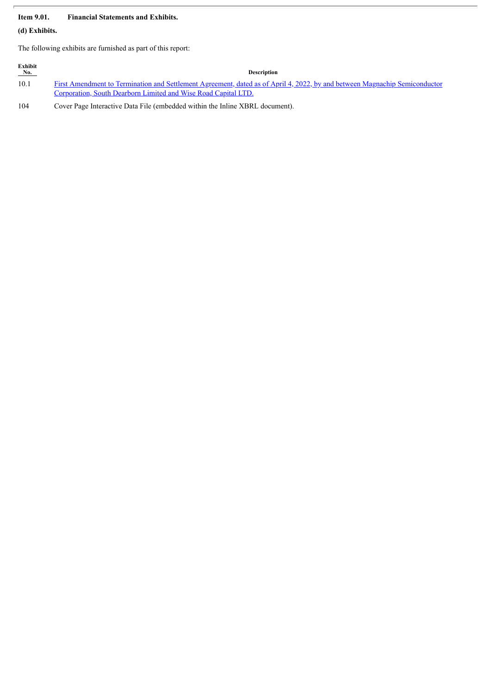# **Item 9.01. Financial Statements and Exhibits.**

**(d) Exhibits.**

The following exhibits are furnished as part of this report:

| Exhibit<br>No. | <b>Description</b>                                                                                                         |
|----------------|----------------------------------------------------------------------------------------------------------------------------|
| 10.1           | First Amendment to Termination and Settlement Agreement, dated as of April 4, 2022, by and between Magnachip Semiconductor |
|                | Corporation, South Dearborn Limited and Wise Road Capital LTD.                                                             |

104 Cover Page Interactive Data File (embedded within the Inline XBRL document).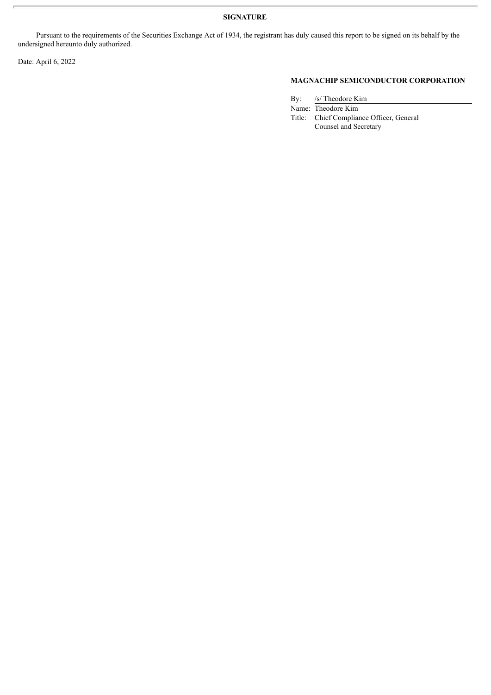Pursuant to the requirements of the Securities Exchange Act of 1934, the registrant has duly caused this report to be signed on its behalf by the undersigned hereunto duly authorized.

Date: April 6, 2022

# **MAGNACHIP SEMICONDUCTOR CORPORATION**

By: /s/ Theodore Kim

Name: Theodore Kim Title: Chief Compliance Officer, General Counsel and Secretary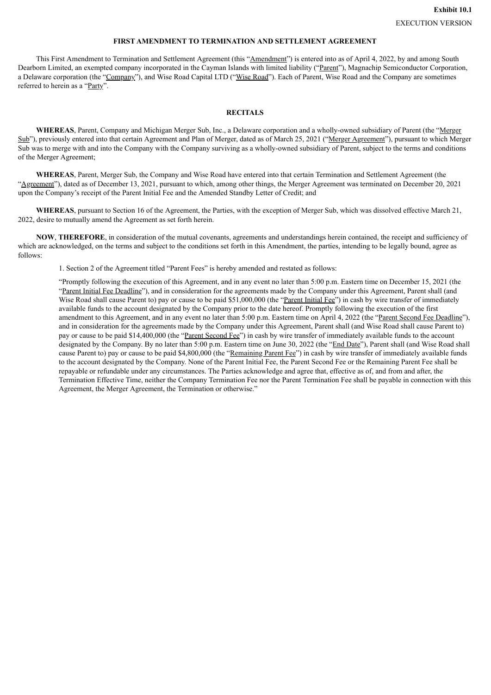## **FIRST AMENDMENT TO TERMINATION AND SETTLEMENT AGREEMENT**

<span id="page-4-0"></span>This First Amendment to Termination and Settlement Agreement (this "Amendment") is entered into as of April 4, 2022, by and among South Dearborn Limited, an exempted company incorporated in the Cayman Islands with limited liability ("Parent"), Magnachip Semiconductor Corporation, a Delaware corporation (the "Company"), and Wise Road Capital LTD ("Wise Road"). Each of Parent, Wise Road and the Company are sometimes referred to herein as a "Party".

#### **RECITALS**

**WHEREAS**, Parent, Company and Michigan Merger Sub, Inc., a Delaware corporation and a wholly-owned subsidiary of Parent (the "Merger Sub"), previously entered into that certain Agreement and Plan of Merger, dated as of March 25, 2021 ("Merger Agreement"), pursuant to which Merger Sub was to merge with and into the Company with the Company surviving as a wholly-owned subsidiary of Parent, subject to the terms and conditions of the Merger Agreement;

**WHEREAS**, Parent, Merger Sub, the Company and Wise Road have entered into that certain Termination and Settlement Agreement (the "Agreement"), dated as of December 13, 2021, pursuant to which, among other things, the Merger Agreement was terminated on December 20, 2021 upon the Company's receipt of the Parent Initial Fee and the Amended Standby Letter of Credit; and

**WHEREAS**, pursuant to Section 16 of the Agreement, the Parties, with the exception of Merger Sub, which was dissolved effective March 21, 2022, desire to mutually amend the Agreement as set forth herein.

**NOW**, **THEREFORE**, in consideration of the mutual covenants, agreements and understandings herein contained, the receipt and sufficiency of which are acknowledged, on the terms and subject to the conditions set forth in this Amendment, the parties, intending to be legally bound, agree as follows:

1. Section 2 of the Agreement titled "Parent Fees" is hereby amended and restated as follows:

"Promptly following the execution of this Agreement, and in any event no later than 5:00 p.m. Eastern time on December 15, 2021 (the "Parent Initial Fee Deadline"), and in consideration for the agreements made by the Company under this Agreement, Parent shall (and Wise Road shall cause Parent to) pay or cause to be paid \$51,000,000 (the "Parent Initial Fee") in cash by wire transfer of immediately available funds to the account designated by the Company prior to the date hereof. Promptly following the execution of the first amendment to this Agreement, and in any event no later than 5:00 p.m. Eastern time on April 4, 2022 (the "Parent Second Fee Deadline"), and in consideration for the agreements made by the Company under this Agreement, Parent shall (and Wise Road shall cause Parent to) pay or cause to be paid \$14,400,000 (the "Parent Second Fee") in cash by wire transfer of immediately available funds to the account designated by the Company. By no later than 5:00 p.m. Eastern time on June 30, 2022 (the "End Date"), Parent shall (and Wise Road shall cause Parent to) pay or cause to be paid \$4,800,000 (the "Remaining Parent Fee") in cash by wire transfer of immediately available funds to the account designated by the Company. None of the Parent Initial Fee, the Parent Second Fee or the Remaining Parent Fee shall be repayable or refundable under any circumstances. The Parties acknowledge and agree that, effective as of, and from and after, the Termination Effective Time, neither the Company Termination Fee nor the Parent Termination Fee shall be payable in connection with this Agreement, the Merger Agreement, the Termination or otherwise."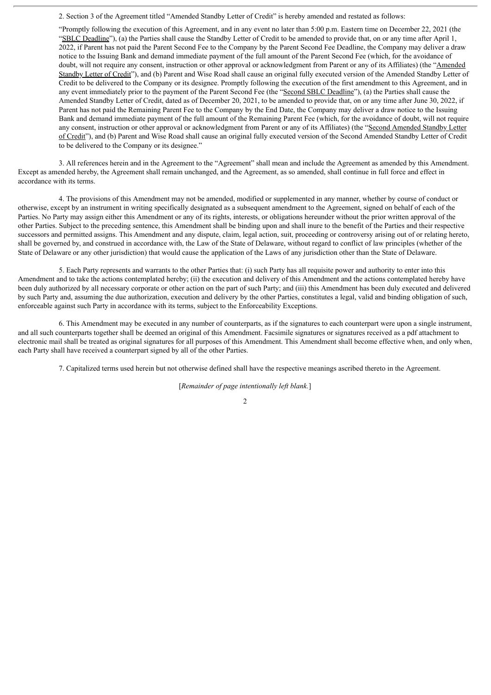2. Section 3 of the Agreement titled "Amended Standby Letter of Credit" is hereby amended and restated as follows:

"Promptly following the execution of this Agreement, and in any event no later than 5:00 p.m. Eastern time on December 22, 2021 (the "SBLC Deadline"), (a) the Parties shall cause the Standby Letter of Credit to be amended to provide that, on or any time after April 1, 2022, if Parent has not paid the Parent Second Fee to the Company by the Parent Second Fee Deadline, the Company may deliver a draw notice to the Issuing Bank and demand immediate payment of the full amount of the Parent Second Fee (which, for the avoidance of doubt, will not require any consent, instruction or other approval or acknowledgment from Parent or any of its Affiliates) (the "Amended Standby Letter of Credit"), and (b) Parent and Wise Road shall cause an original fully executed version of the Amended Standby Letter of Credit to be delivered to the Company or its designee. Promptly following the execution of the first amendment to this Agreement, and in any event immediately prior to the payment of the Parent Second Fee (the "Second SBLC Deadline"), (a) the Parties shall cause the Amended Standby Letter of Credit, dated as of December 20, 2021, to be amended to provide that, on or any time after June 30, 2022, if Parent has not paid the Remaining Parent Fee to the Company by the End Date, the Company may deliver a draw notice to the Issuing Bank and demand immediate payment of the full amount of the Remaining Parent Fee (which, for the avoidance of doubt, will not require any consent, instruction or other approval or acknowledgment from Parent or any of its Affiliates) (the "Second Amended Standby Letter of Credit"), and (b) Parent and Wise Road shall cause an original fully executed version of the Second Amended Standby Letter of Credit to be delivered to the Company or its designee."

3. All references herein and in the Agreement to the "Agreement" shall mean and include the Agreement as amended by this Amendment. Except as amended hereby, the Agreement shall remain unchanged, and the Agreement, as so amended, shall continue in full force and effect in accordance with its terms.

4. The provisions of this Amendment may not be amended, modified or supplemented in any manner, whether by course of conduct or otherwise, except by an instrument in writing specifically designated as a subsequent amendment to the Agreement, signed on behalf of each of the Parties. No Party may assign either this Amendment or any of its rights, interests, or obligations hereunder without the prior written approval of the other Parties. Subject to the preceding sentence, this Amendment shall be binding upon and shall inure to the benefit of the Parties and their respective successors and permitted assigns. This Amendment and any dispute, claim, legal action, suit, proceeding or controversy arising out of or relating hereto, shall be governed by, and construed in accordance with, the Law of the State of Delaware, without regard to conflict of law principles (whether of the State of Delaware or any other jurisdiction) that would cause the application of the Laws of any jurisdiction other than the State of Delaware.

5. Each Party represents and warrants to the other Parties that: (i) such Party has all requisite power and authority to enter into this Amendment and to take the actions contemplated hereby; (ii) the execution and delivery of this Amendment and the actions contemplated hereby have been duly authorized by all necessary corporate or other action on the part of such Party; and (iii) this Amendment has been duly executed and delivered by such Party and, assuming the due authorization, execution and delivery by the other Parties, constitutes a legal, valid and binding obligation of such, enforceable against such Party in accordance with its terms, subject to the Enforceability Exceptions.

6. This Amendment may be executed in any number of counterparts, as if the signatures to each counterpart were upon a single instrument, and all such counterparts together shall be deemed an original of this Amendment. Facsimile signatures or signatures received as a pdf attachment to electronic mail shall be treated as original signatures for all purposes of this Amendment. This Amendment shall become effective when, and only when, each Party shall have received a counterpart signed by all of the other Parties.

7. Capitalized terms used herein but not otherwise defined shall have the respective meanings ascribed thereto in the Agreement.

[*Remainder of page intentionally left blank.*]

2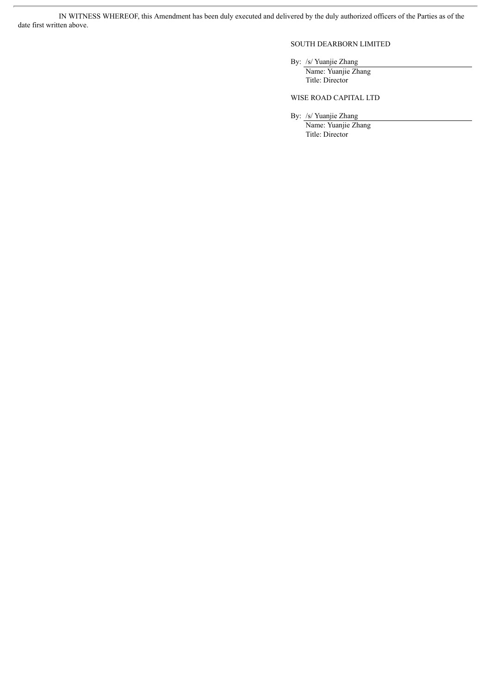IN WITNESS WHEREOF, this Amendment has been duly executed and delivered by the duly authorized officers of the Parties as of the date first written above.

# SOUTH DEARBORN LIMITED

### By: /s/ Yuanjie Zhang

Name: Yuanjie Zhang Title: Director

## WISE ROAD CAPITAL LTD

By: /s/ Yuanjie Zhang

Name: Yuanjie Zhang Title: Director